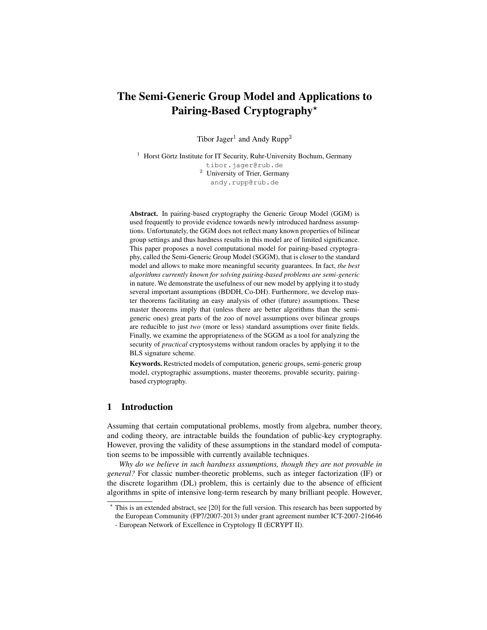# The Semi-Generic Group Model and Applications to Pairing-Based Cryptography\*

Tibor Jager<sup>1</sup> and Andy Rupp<sup>2</sup>

 $1$  Horst Görtz Institute for IT Security, Ruhr-University Bochum, Germany

tibor.jager@rub.de <sup>2</sup> University of Trier, Germany andy.rupp@rub.de

Abstract. In pairing-based cryptography the Generic Group Model (GGM) is used frequently to provide evidence towards newly introduced hardness assumptions. Unfortunately, the GGM does not reflect many known properties of bilinear group settings and thus hardness results in this model are of limited significance. This paper proposes a novel computational model for pairing-based cryptography, called the Semi-Generic Group Model (SGGM), that is closer to the standard model and allows to make more meaningful security guarantees. In fact, *the best algorithms currently known for solving pairing-based problems are semi-generic* in nature. We demonstrate the usefulness of our new model by applying it to study several important assumptions (BDDH, Co-DH). Furthermore, we develop master theorems facilitating an easy analysis of other (future) assumptions. These master theorems imply that (unless there are better algorithms than the semigeneric ones) great parts of the zoo of novel assumptions over bilinear groups are reducible to just *two* (more or less) standard assumptions over finite fields. Finally, we examine the appropriateness of the SGGM as a tool for analyzing the security of *practical* cryptosystems without random oracles by applying it to the BLS signature scheme.

Keywords. Restricted models of computation, generic groups, semi-generic group model, cryptographic assumptions, master theorems, provable security, pairingbased cryptography.

## 1 Introduction

Assuming that certain computational problems, mostly from algebra, number theory, and coding theory, are intractable builds the foundation of public-key cryptography. However, proving the validity of these assumptions in the standard model of computation seems to be impossible with currently available techniques.

*Why do we believe in such hardness assumptions, though they are not provable in general?* For classic number-theoretic problems, such as integer factorization (IF) or the discrete logarithm (DL) problem, this is certainly due to the absence of efficient algorithms in spite of intensive long-term research by many brilliant people. However,

<sup>?</sup> This is an extended abstract, see [20] for the full version. This research has been supported by the European Community (FP7/2007-2013) under grant agreement number ICT-2007-216646

<sup>-</sup> European Network of Excellence in Cryptology II (ECRYPT II).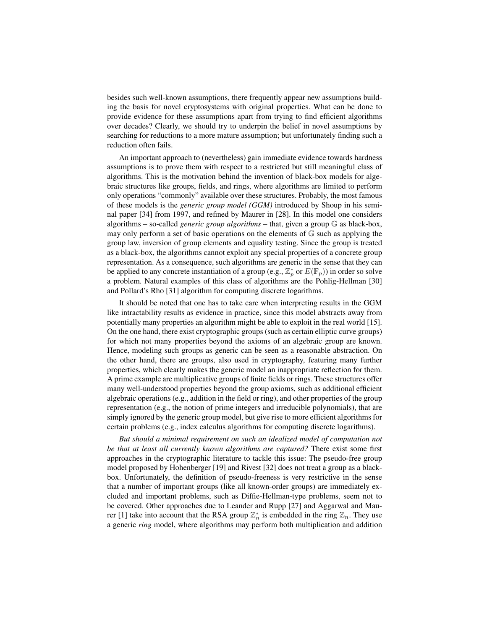besides such well-known assumptions, there frequently appear new assumptions building the basis for novel cryptosystems with original properties. What can be done to provide evidence for these assumptions apart from trying to find efficient algorithms over decades? Clearly, we should try to underpin the belief in novel assumptions by searching for reductions to a more mature assumption; but unfortunately finding such a reduction often fails.

An important approach to (nevertheless) gain immediate evidence towards hardness assumptions is to prove them with respect to a restricted but still meaningful class of algorithms. This is the motivation behind the invention of black-box models for algebraic structures like groups, fields, and rings, where algorithms are limited to perform only operations "commonly" available over these structures. Probably, the most famous of these models is the *generic group model (GGM)* introduced by Shoup in his seminal paper [34] from 1997, and refined by Maurer in [28]. In this model one considers algorithms – so-called *generic group algorithms* – that, given a group G as black-box, may only perform a set of basic operations on the elements of  $\mathbb G$  such as applying the group law, inversion of group elements and equality testing. Since the group is treated as a black-box, the algorithms cannot exploit any special properties of a concrete group representation. As a consequence, such algorithms are generic in the sense that they can be applied to any concrete instantiation of a group (e.g.,  $\mathbb{Z}_p^*$  or  $E(\mathbb{F}_p)$ ) in order so solve a problem. Natural examples of this class of algorithms are the Pohlig-Hellman [30] and Pollard's Rho [31] algorithm for computing discrete logarithms.

It should be noted that one has to take care when interpreting results in the GGM like intractability results as evidence in practice, since this model abstracts away from potentially many properties an algorithm might be able to exploit in the real world [15]. On the one hand, there exist cryptographic groups (such as certain elliptic curve groups) for which not many properties beyond the axioms of an algebraic group are known. Hence, modeling such groups as generic can be seen as a reasonable abstraction. On the other hand, there are groups, also used in cryptography, featuring many further properties, which clearly makes the generic model an inappropriate reflection for them. A prime example are multiplicative groups of finite fields or rings. These structures offer many well-understood properties beyond the group axioms, such as additional efficient algebraic operations (e.g., addition in the field or ring), and other properties of the group representation (e.g., the notion of prime integers and irreducible polynomials), that are simply ignored by the generic group model, but give rise to more efficient algorithms for certain problems (e.g., index calculus algorithms for computing discrete logarithms).

*But should a minimal requirement on such an idealized model of computation not be that at least all currently known algorithms are captured?* There exist some first approaches in the cryptographic literature to tackle this issue: The pseudo-free group model proposed by Hohenberger [19] and Rivest [32] does not treat a group as a blackbox. Unfortunately, the definition of pseudo-freeness is very restrictive in the sense that a number of important groups (like all known-order groups) are immediately excluded and important problems, such as Diffie-Hellman-type problems, seem not to be covered. Other approaches due to Leander and Rupp [27] and Aggarwal and Maurer [1] take into account that the RSA group  $\mathbb{Z}_n^*$  is embedded in the ring  $\mathbb{Z}_n$ . They use a generic *ring* model, where algorithms may perform both multiplication and addition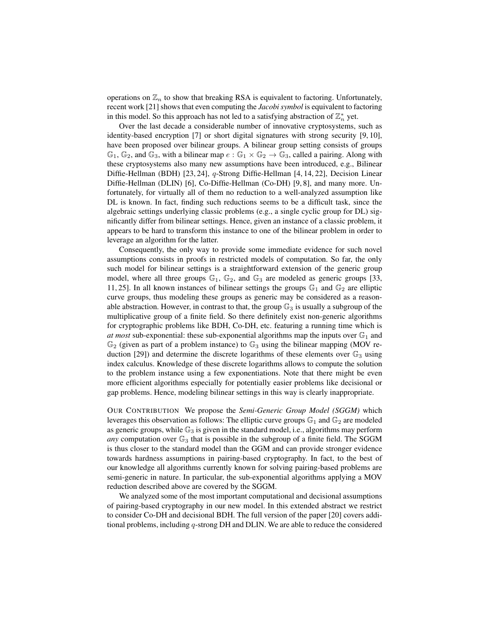operations on  $\mathbb{Z}_n$  to show that breaking RSA is equivalent to factoring. Unfortunately, recent work [21] shows that even computing the *Jacobi symbol* is equivalent to factoring in this model. So this approach has not led to a satisfying abstraction of  $\mathbb{Z}_n^*$  yet.

Over the last decade a considerable number of innovative cryptosystems, such as identity-based encryption [7] or short digital signatures with strong security [9, 10], have been proposed over bilinear groups. A bilinear group setting consists of groups  $\mathbb{G}_1$ ,  $\mathbb{G}_2$ , and  $\mathbb{G}_3$ , with a bilinear map  $e : \mathbb{G}_1 \times \mathbb{G}_2 \to \mathbb{G}_3$ , called a pairing. Along with these cryptosystems also many new assumptions have been introduced, e.g., Bilinear Diffie-Hellman (BDH) [23, 24], q-Strong Diffie-Hellman [4, 14, 22], Decision Linear Diffie-Hellman (DLIN) [6], Co-Diffie-Hellman (Co-DH) [9, 8], and many more. Unfortunately, for virtually all of them no reduction to a well-analyzed assumption like DL is known. In fact, finding such reductions seems to be a difficult task, since the algebraic settings underlying classic problems (e.g., a single cyclic group for DL) significantly differ from bilinear settings. Hence, given an instance of a classic problem, it appears to be hard to transform this instance to one of the bilinear problem in order to leverage an algorithm for the latter.

Consequently, the only way to provide some immediate evidence for such novel assumptions consists in proofs in restricted models of computation. So far, the only such model for bilinear settings is a straightforward extension of the generic group model, where all three groups  $\mathbb{G}_1$ ,  $\mathbb{G}_2$ , and  $\mathbb{G}_3$  are modeled as generic groups [33, 11, 25]. In all known instances of bilinear settings the groups  $\mathbb{G}_1$  and  $\mathbb{G}_2$  are elliptic curve groups, thus modeling these groups as generic may be considered as a reasonable abstraction. However, in contrast to that, the group  $\mathbb{G}_3$  is usually a subgroup of the multiplicative group of a finite field. So there definitely exist non-generic algorithms for cryptographic problems like BDH, Co-DH, etc. featuring a running time which is *at most* sub-exponential: these sub-exponential algorithms map the inputs over  $\mathbb{G}_1$  and  $\mathbb{G}_2$  (given as part of a problem instance) to  $\mathbb{G}_3$  using the bilinear mapping (MOV reduction [29]) and determine the discrete logarithms of these elements over  $\mathbb{G}_3$  using index calculus. Knowledge of these discrete logarithms allows to compute the solution to the problem instance using a few exponentiations. Note that there might be even more efficient algorithms especially for potentially easier problems like decisional or gap problems. Hence, modeling bilinear settings in this way is clearly inappropriate.

OUR CONTRIBUTION We propose the *Semi-Generic Group Model (SGGM)* which leverages this observation as follows: The elliptic curve groups  $\mathbb{G}_1$  and  $\mathbb{G}_2$  are modeled as generic groups, while  $\mathbb{G}_3$  is given in the standard model, i.e., algorithms may perform any computation over  $\mathbb{G}_3$  that is possible in the subgroup of a finite field. The SGGM is thus closer to the standard model than the GGM and can provide stronger evidence towards hardness assumptions in pairing-based cryptography. In fact, to the best of our knowledge all algorithms currently known for solving pairing-based problems are semi-generic in nature. In particular, the sub-exponential algorithms applying a MOV reduction described above are covered by the SGGM.

We analyzed some of the most important computational and decisional assumptions of pairing-based cryptography in our new model. In this extended abstract we restrict to consider Co-DH and decisional BDH. The full version of the paper [20] covers additional problems, including q-strong DH and DLIN. We are able to reduce the considered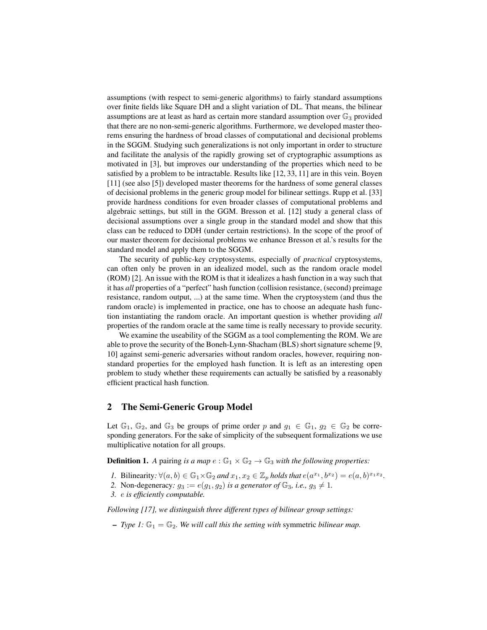assumptions (with respect to semi-generic algorithms) to fairly standard assumptions over finite fields like Square DH and a slight variation of DL. That means, the bilinear assumptions are at least as hard as certain more standard assumption over  $\mathbb{G}_3$  provided that there are no non-semi-generic algorithms. Furthermore, we developed master theorems ensuring the hardness of broad classes of computational and decisional problems in the SGGM. Studying such generalizations is not only important in order to structure and facilitate the analysis of the rapidly growing set of cryptographic assumptions as motivated in [3], but improves our understanding of the properties which need to be satisfied by a problem to be intractable. Results like [12, 33, 11] are in this vein. Boyen [11] (see also [5]) developed master theorems for the hardness of some general classes of decisional problems in the generic group model for bilinear settings. Rupp et al. [33] provide hardness conditions for even broader classes of computational problems and algebraic settings, but still in the GGM. Bresson et al. [12] study a general class of decisional assumptions over a single group in the standard model and show that this class can be reduced to DDH (under certain restrictions). In the scope of the proof of our master theorem for decisional problems we enhance Bresson et al.'s results for the standard model and apply them to the SGGM.

The security of public-key cryptosystems, especially of *practical* cryptosystems, can often only be proven in an idealized model, such as the random oracle model (ROM) [2]. An issue with the ROM is that it idealizes a hash function in a way such that it has *all* properties of a "perfect" hash function (collision resistance, (second) preimage resistance, random output, ...) at the same time. When the cryptosystem (and thus the random oracle) is implemented in practice, one has to choose an adequate hash function instantiating the random oracle. An important question is whether providing *all* properties of the random oracle at the same time is really necessary to provide security.

We examine the useability of the SGGM as a tool complementing the ROM. We are able to prove the security of the Boneh-Lynn-Shacham (BLS) short signature scheme [9, 10] against semi-generic adversaries without random oracles, however, requiring nonstandard properties for the employed hash function. It is left as an interesting open problem to study whether these requirements can actually be satisfied by a reasonably efficient practical hash function.

## 2 The Semi-Generic Group Model

Let  $\mathbb{G}_1$ ,  $\mathbb{G}_2$ , and  $\mathbb{G}_3$  be groups of prime order p and  $g_1 \in \mathbb{G}_1$ ,  $g_2 \in \mathbb{G}_2$  be corresponding generators. For the sake of simplicity of the subsequent formalizations we use multiplicative notation for all groups.

**Definition 1.** A pairing *is a map*  $e : \mathbb{G}_1 \times \mathbb{G}_2 \to \mathbb{G}_3$  *with the following properties:* 

- *1.* Bilinearity:  $\forall (a, b) \in \mathbb{G}_1 \times \mathbb{G}_2$  and  $x_1, x_2 \in \mathbb{Z}_p$  holds that  $e(a^{x_1}, b^{x_2}) = e(a, b)^{x_1 x_2}$ .
- 2. Non-degeneracy:  $g_3 := e(g_1, g_2)$  *is a generator of*  $\mathbb{G}_3$ *, i.e.,*  $g_3 \neq 1$ *.*
- *3.* e *is efficiently computable.*

*Following [17], we distinguish three different types of bilinear group settings:*

 $-$  *Type 1:*  $\mathbb{G}_1 = \mathbb{G}_2$ *. We will call this the setting with symmetric bilinear map.*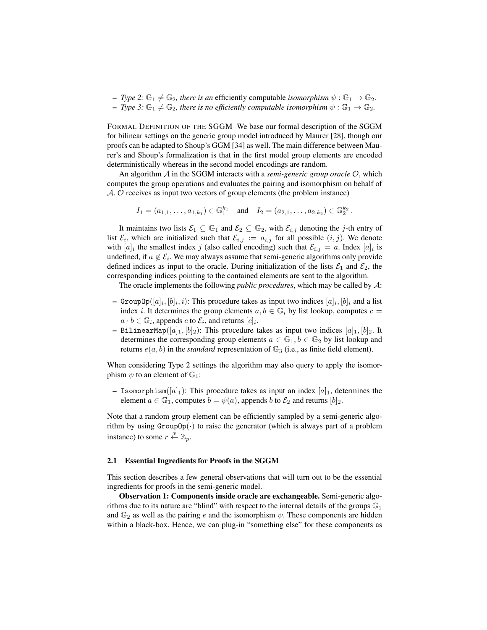– *Type 2:*  $\mathbb{G}_1 \neq \mathbb{G}_2$ *, there is an efficiently computable isomorphism*  $\psi : \mathbb{G}_1 \to \mathbb{G}_2$ *.*  $-$  *Type 3:*  $\mathbb{G}_1 \neq \mathbb{G}_2$ *, there is no efficiently computable isomorphism*  $\psi : \mathbb{G}_1 \to \mathbb{G}_2$ *.* 

FORMAL DEFINITION OF THE SGGM We base our formal description of the SGGM for bilinear settings on the generic group model introduced by Maurer [28], though our proofs can be adapted to Shoup's GGM [34] as well. The main difference between Maurer's and Shoup's formalization is that in the first model group elements are encoded deterministically whereas in the second model encodings are random.

An algorithm A in the SGGM interacts with a *semi-generic group oracle* O, which computes the group operations and evaluates the pairing and isomorphism on behalf of A. O receives as input two vectors of group elements (the problem instance)

$$
I_1 = (a_{1,1}, \ldots, a_{1,k_1}) \in \mathbb{G}_1^{k_1} \quad \text{and} \quad I_2 = (a_{2,1}, \ldots, a_{2,k_2}) \in \mathbb{G}_2^{k_2} \, .
$$

It maintains two lists  $\mathcal{E}_1 \subseteq \mathbb{G}_1$  and  $\mathcal{E}_2 \subseteq \mathbb{G}_2$ , with  $\mathcal{E}_{i,j}$  denoting the j-th entry of list  $\mathcal{E}_i$ , which are initialized such that  $\mathcal{E}_{i,j} := a_{i,j}$  for all possible  $(i,j)$ . We denote with  $[a]_i$  the smallest index j (also called encoding) such that  $\mathcal{E}_{i,j} = a$ . Index  $[a]_i$  is undefined, if  $a \notin \mathcal{E}_i$ . We may always assume that semi-generic algorithms only provide defined indices as input to the oracle. During initialization of the lists  $\mathcal{E}_1$  and  $\mathcal{E}_2$ , the corresponding indices pointing to the contained elements are sent to the algorithm.

The oracle implements the following *public procedures*, which may be called by A:

- $-$  Group0p( $[a]_i$ ,  $[b]_i$ ,  $i$ ): This procedure takes as input two indices  $[a]_i$ ,  $[b]_i$  and a list index *i*. It determines the group elements  $a, b \in \mathbb{G}_i$  by list lookup, computes  $c =$  $a \cdot b \in \mathbb{G}_i$ , appends c to  $\mathcal{E}_i$ , and returns  $[c]_i$ .
- BilinearMap( $[a]_1$ ,  $[b]_2$ ): This procedure takes as input two indices  $[a]_1$ ,  $[b]_2$ . It determines the corresponding group elements  $a \in \mathbb{G}_1, b \in \mathbb{G}_2$  by list lookup and returns  $e(a, b)$  in the *standard* representation of  $\mathbb{G}_3$  (i.e., as finite field element).

When considering Type 2 settings the algorithm may also query to apply the isomorphism  $\psi$  to an element of  $\mathbb{G}_1$ :

– Isomorphism( $[a]_1$ ): This procedure takes as input an index  $[a]_1$ , determines the element  $a \in \mathbb{G}_1$ , computes  $b = \psi(a)$ , appends b to  $\mathcal{E}_2$  and returns  $[b]_2$ .

Note that a random group element can be efficiently sampled by a semi-generic algorithm by using  $GroupOp(\cdot)$  to raise the generator (which is always part of a problem instance) to some  $r \stackrel{\$}{\leftarrow} \mathbb{Z}_p$ .

#### 2.1 Essential Ingredients for Proofs in the SGGM

This section describes a few general observations that will turn out to be the essential ingredients for proofs in the semi-generic model.

Observation 1: Components inside oracle are exchangeable. Semi-generic algorithms due to its nature are "blind" with respect to the internal details of the groups  $\mathbb{G}_1$ and  $\mathbb{G}_2$  as well as the pairing e and the isomorphism  $\psi$ . These components are hidden within a black-box. Hence, we can plug-in "something else" for these components as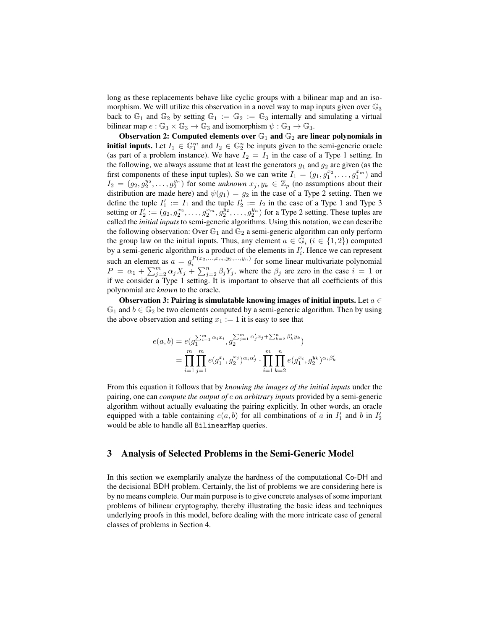long as these replacements behave like cyclic groups with a bilinear map and an isomorphism. We will utilize this observation in a novel way to map inputs given over  $\mathbb{G}_3$ back to  $\mathbb{G}_1$  and  $\mathbb{G}_2$  by setting  $\mathbb{G}_1 := \mathbb{G}_2 := \mathbb{G}_3$  internally and simulating a virtual bilinear map  $e : \mathbb{G}_3 \times \mathbb{G}_3 \to \mathbb{G}_3$  and isomorphism  $\psi : \mathbb{G}_3 \to \mathbb{G}_3$ .

Observation 2: Computed elements over  $\mathbb{G}_1$  and  $\mathbb{G}_2$  are linear polynomials in **initial inputs.** Let  $I_1 \in \mathbb{G}_1^m$  and  $I_2 \in \mathbb{G}_2^n$  be inputs given to the semi-generic oracle (as part of a problem instance). We have  $I_2 = I_1$  in the case of a Type 1 setting. In the following, we always assume that at least the generators  $g_1$  and  $g_2$  are given (as the first components of these input tuples). So we can write  $I_1 = (g_1, g_1^{x_2}, \ldots, g_1^{x_m})$  and  $I_2 = (g_2, g_2^{y_2}, \ldots, g_2^{y_n})$  for some *unknown*  $x_j, y_k \in \mathbb{Z}_p$  (no assumptions about their distribution are made here) and  $\psi(g_1) = g_2$  in the case of a Type 2 setting. Then we define the tuple  $I'_1 := I_1$  and the tuple  $I'_2 := I_2$  in the case of a Type 1 and Type 3 setting or  $I'_2 := (g_2, g_2^{x_2}, \ldots, g_2^{x_m}, g_2^{\hat{y}_2}, \ldots, g_2^{y_n})$  for a Type 2 setting. These tuples are called the *initial inputs* to semi-generic algorithms. Using this notation, we can describe the following observation: Over  $\mathbb{G}_1$  and  $\mathbb{G}_2$  a semi-generic algorithm can only perform the group law on the initial inputs. Thus, any element  $a \in \mathbb{G}_i$   $(i \in \{1,2\})$  computed by a semi-generic algorithm is a product of the elements in  $I_i'$ . Hence we can represent such an element as  $a = g_i^{P(x_2,...,x_m,y_2,...,y_n)}$  for some linear multivariate polynomial  $P = \alpha_1 + \sum_{j=2}^m \alpha_j X_j + \sum_{j=2}^n \beta_j Y_j$ , where the  $\beta_j$  are zero in the case  $i = 1$  or if we consider a Type 1 setting. It is important to observe that all coefficients of this polynomial are *known* to the oracle.

Observation 3: Pairing is simulatable knowing images of initial inputs. Let  $a \in$  $\mathbb{G}_1$  and  $b \in \mathbb{G}_2$  be two elements computed by a semi-generic algorithm. Then by using the above observation and setting  $x_1 := 1$  it is easy to see that

$$
e(a,b) = e(g_1^{\sum_{i=1}^m \alpha_i x_i}, g_2^{\sum_{j=1}^m \alpha'_j x_j + \sum_{k=2}^n \beta'_k y_k})
$$
  
= 
$$
\prod_{i=1}^m \prod_{j=1}^m e(g_1^{x_i}, g_2^{x_j})^{\alpha_i \alpha'_j} \cdot \prod_{i=1}^m \prod_{k=2}^n e(g_1^{x_i}, g_2^{y_k})^{\alpha_i \beta'_k}
$$

From this equation it follows that by *knowing the images of the initial inputs* under the pairing, one can *compute the output of* e *on arbitrary inputs* provided by a semi-generic algorithm without actually evaluating the pairing explicitly. In other words, an oracle equipped with a table containing  $e(a, b)$  for all combinations of a in  $I'_1$  and b in  $I'_2$ would be able to handle all BilinearMap queries.

## 3 Analysis of Selected Problems in the Semi-Generic Model

In this section we exemplarily analyze the hardness of the computational Co-DH and the decisional BDH problem. Certainly, the list of problems we are considering here is by no means complete. Our main purpose is to give concrete analyses of some important problems of bilinear cryptography, thereby illustrating the basic ideas and techniques underlying proofs in this model, before dealing with the more intricate case of general classes of problems in Section 4.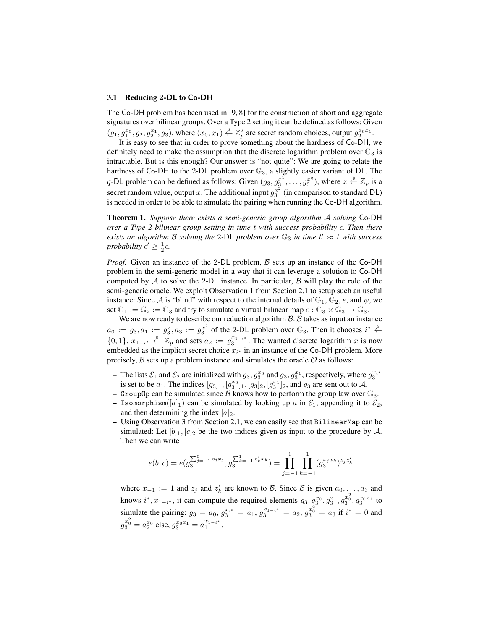#### 3.1 Reducing 2-DL to Co-DH

The Co-DH problem has been used in [9, 8] for the construction of short and aggregate signatures over bilinear groups. Over a Type 2 setting it can be defined as follows: Given  $(g_1, g_1^{x_0}, g_2, g_2^{x_1}, g_3)$ , where  $(x_0, x_1) \stackrel{\$}{\leftarrow} \mathbb{Z}_p^2$  are secret random choices, output  $g_2^{x_0 x_1}$ .

It is easy to see that in order to prove something about the hardness of Co-DH, we definitely need to make the assumption that the discrete logarithm problem over  $\mathbb{G}_3$  is intractable. But is this enough? Our answer is "not quite": We are going to relate the hardness of Co-DH to the 2-DL problem over  $\mathbb{G}_3$ , a slightly easier variant of DL. The q-DL problem can be defined as follows: Given  $(g_3, g_3^{x^1}, \ldots, g_3^{x^q})$ , where  $x \stackrel{\$}{\leftarrow} \mathbb{Z}_p$  is a secret random value, output x. The additional input  $g_3^{x^2}$  (in comparison to standard DL) is needed in order to be able to simulate the pairing when running the Co-DH algorithm.

Theorem 1. *Suppose there exists a semi-generic group algorithm* A *solving* Co*-*DH *over a Type 2 bilinear group setting in time* t *with success probability . Then there exists an algorithm B solving the* 2-DL *problem over*  $\mathbb{G}_3$  *in time*  $t' \approx t$  *with success probability*  $\epsilon' \geq \frac{1}{2}\epsilon$ .

*Proof.* Given an instance of the 2-DL problem,  $\beta$  sets up an instance of the Co-DH problem in the semi-generic model in a way that it can leverage a solution to Co-DH computed by  $\mathcal A$  to solve the 2-DL instance. In particular,  $\mathcal B$  will play the role of the semi-generic oracle. We exploit Observation 1 from Section 2.1 to setup such an useful instance: Since A is "blind" with respect to the internal details of  $\mathbb{G}_1$ ,  $\mathbb{G}_2$ , e, and  $\psi$ , we set  $\mathbb{G}_1 := \mathbb{G}_2 := \mathbb{G}_3$  and try to simulate a virtual bilinear map  $e : \mathbb{G}_3 \times \mathbb{G}_3 \to \mathbb{G}_3$ .

We are now ready to describe our reduction algorithm  $\beta$ .  $\beta$  takes as input an instance  $a_0 := g_3, a_1 := g_3^x, a_3 := g_3^{x^2}$  of the 2-DL problem over  $\mathbb{G}_3$ . Then it chooses  $i^* \stackrel{\$}{\leftarrow}$  $\{0,1\}$ ,  $x_{1-i^*} \stackrel{\$}{\leftarrow} \mathbb{Z}_p$  and sets  $a_2 := g_3^{x_{1-i^*}}$ . The wanted discrete logarithm x is now embedded as the implicit secret choice  $x_{i^*}$  in an instance of the Co-DH problem. More precisely,  $\beta$  sets up a problem instance and simulates the oracle  $\mathcal O$  as follows:

- The lists  $\mathcal{E}_1$  and  $\mathcal{E}_2$  are initialized with  $g_3$ ,  $g_3^{x_0}$  and  $g_3$ ,  $g_3^{x_1}$ , respectively, where  $g_3^{x_3*}$ is set to be  $a_1$ . The indices  $[g_3]_1, [g_3]_2, [g_3]_2, [g_3^{x_1}]_2$ , and  $g_3$  are sent out to A.
- GroupOp can be simulated since B knows how to perform the group law over  $\mathbb{G}_3$ .
- Isomorphism( $[a]_1$ ) can be simulated by looking up a in  $\mathcal{E}_1$ , appending it to  $\mathcal{E}_2$ , and then determining the index  $[a]_2$ .
- Using Observation 3 from Section 2.1, we can easily see that BilinearMap can be simulated: Let  $[b]_1$ ,  $[c]_2$  be the two indices given as input to the procedure by A. Then we can write

$$
e(b,c) = e(g_3^{\sum_{j=-1}^0 z_j x_j}, g_3^{\sum_{k=-1}^1 z'_k x_k}) = \prod_{j=-1}^0 \prod_{k=-1}^1 (g_3^{x_j x_k})^{z_j z'_k}
$$

where  $x_{-1} := 1$  and  $z_j$  and  $z'_k$  are known to B. Since B is given  $a_0, \ldots, a_3$  and knows  $i^*, x_{1-i^*}$ , it can compute the required elements  $g_3, g_3^{x_0}, g_3^{x_1}, g_3^{x_0^2}, g_3^{x_0x_1}$  to simulate the pairing:  $g_3 = a_0$ ,  $g_3^{x_{i^*}} = a_1$ ,  $g_3^{x_{1-i^*}} = a_2$ ,  $g_3^{x_0^2} = a_3$  if  $i^* = 0$  and  $g_3^{x_0^2} = a_2^{x_0}$  else,  $g_3^{x_0x_1} = a_1^{x_{1-i}*}$ .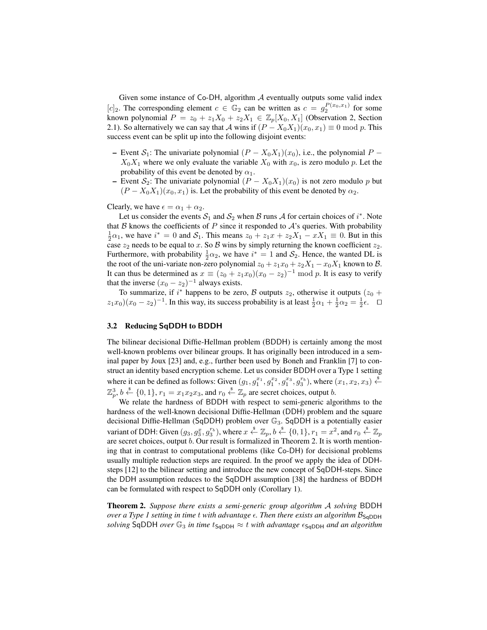Given some instance of Co-DH, algorithm  $A$  eventually outputs some valid index [c]<sub>2</sub>. The corresponding element  $c \in \mathbb{G}_2$  can be written as  $c = g_2^{P(x_0, x_1)}$  for some known polynomial  $P = z_0 + z_1X_0 + z_2X_1 \in \mathbb{Z}_p[X_0, X_1]$  (Observation 2, Section 2.1). So alternatively we can say that A wins if  $(P - X_0X_1)(x_0, x_1) \equiv 0 \text{ mod } p$ . This success event can be split up into the following disjoint events:

- Event  $S_1$ : The univariate polynomial  $(P X_0X_1)(x_0)$ , i.e., the polynomial  $P$   $X_0X_1$  where we only evaluate the variable  $X_0$  with  $x_0$ , is zero modulo p. Let the probability of this event be denoted by  $\alpha_1$ .
- Event  $S_2$ : The univariate polynomial  $(P X_0 X_1)(x_0)$  is not zero modulo p but  $(P - X_0X_1)(x_0, x_1)$  is. Let the probability of this event be denoted by  $\alpha_2$ .

Clearly, we have  $\epsilon = \alpha_1 + \alpha_2$ .

Let us consider the events  $S_1$  and  $S_2$  when B runs A for certain choices of  $i^*$ . Note that B knows the coefficients of P since it responded to  $A$ 's queries. With probability  $\frac{1}{2}\alpha_1$ , we have  $i^* = 0$  and  $S_1$ . This means  $z_0 + z_1x + z_2X_1 - xX_1 \equiv 0$ . But in this case  $z_2$  needs to be equal to x. So B wins by simply returning the known coefficient  $z_2$ . Furthermore, with probability  $\frac{1}{2}\alpha_2$ , we have  $i^* = 1$  and  $\mathcal{S}_2$ . Hence, the wanted DL is the root of the uni-variate non-zero polynomial  $z_0 + z_1x_0 + z_2X_1 - x_0X_1$  known to  $\beta$ . It can thus be determined as  $x \equiv (z_0 + z_1 x_0)(x_0 - z_2)^{-1} \mod p$ . It is easy to verify that the inverse  $(x_0 - z_2)^{-1}$  always exists.

To summarize, if i<sup>\*</sup> happens to be zero, B outputs  $z_2$ , otherwise it outputs  $(z_0 + z_1)$  $z_1x_0(x_0-z_2)^{-1}$ . In this way, its success probability is at least  $\frac{1}{2}\alpha_1 + \frac{1}{2}\alpha_2 = \frac{1}{2}\epsilon$ .  $\Box$ 

#### 3.2 Reducing SqDDH to BDDH

The bilinear decisional Diffie-Hellman problem (BDDH) is certainly among the most well-known problems over bilinear groups. It has originally been introduced in a seminal paper by Joux [23] and, e.g., further been used by Boneh and Franklin [7] to construct an identity based encryption scheme. Let us consider BDDH over a Type 1 setting where it can be defined as follows: Given  $(g_1, g_1^{x_1}, g_1^{x_2}, g_1^{x_3}, g_3^{r_b})$ , where  $(x_1, x_2, x_3) \stackrel{\$}{\leftarrow}$  $\mathbb{Z}_p^3$ ,  $b \stackrel{\$}{\leftarrow} \{0,1\}$ ,  $r_1 = x_1x_2x_3$ , and  $r_0 \stackrel{\$}{\leftarrow} \mathbb{Z}_p$  are secret choices, output *b*.

We relate the hardness of BDDH with respect to semi-generic algorithms to the hardness of the well-known decisional Diffie-Hellman (DDH) problem and the square decisional Diffie-Hellman (SqDDH) problem over  $\mathbb{G}_3$ . SqDDH is a potentially easier variant of DDH: Given  $(g_3, g_3^x, g_3^{r_b})$ , where  $x \stackrel{\$}{\leftarrow} \mathbb{Z}_p$ ,  $b \stackrel{\$}{\leftarrow} \{0, 1\}$ ,  $r_1 = x^2$ , and  $r_0 \stackrel{\$}{\leftarrow} \mathbb{Z}_p$ are secret choices, output b. Our result is formalized in Theorem 2. It is worth mentioning that in contrast to computational problems (like Co-DH) for decisional problems usually multiple reduction steps are required. In the proof we apply the idea of DDHsteps [12] to the bilinear setting and introduce the new concept of SqDDH-steps. Since the DDH assumption reduces to the SqDDH assumption [38] the hardness of BDDH can be formulated with respect to SqDDH only (Corollary 1).

Theorem 2. *Suppose there exists a semi-generic group algorithm* A *solving* BDDH *over a Type 1 setting in time t with advantage ε. Then there exists an algorithm*  $B_{SaDDH}$ *solving* SqDDH *over*  $\mathbb{G}_3$  *in time*  $t_{\mathsf{SqDDH}} \approx t$  *with advantage*  $\epsilon_{\mathsf{SqDDH}}$  *and an algorithm*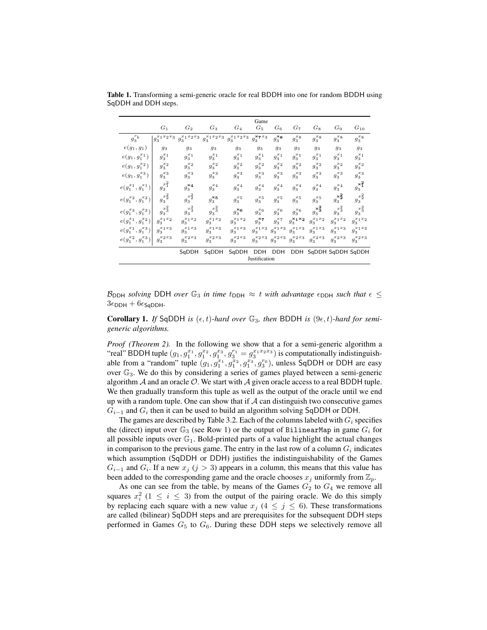|                          |                            |                                                                                               |                            |                        | Game                       |                              |                          |                        |                            |                        |  |
|--------------------------|----------------------------|-----------------------------------------------------------------------------------------------|----------------------------|------------------------|----------------------------|------------------------------|--------------------------|------------------------|----------------------------|------------------------|--|
|                          | $G_1$                      | $G_2$                                                                                         | $G_3$                      | $G_4$                  | $G_5$                      | $G_6$                        | $G_7$                    | $G_8$                  | $G_9$                      | $G_{10}$               |  |
| $g_3^{r_b}$              | $x_1x_2x_3$<br>$g_3^*$     | $x_1x_2x_3$<br>$g_3$                                                                          | $x_1 x_2 x_3$<br>$g_3$     | $x_1x_2x_3$<br>$g_3^-$ | $x_7x_3$<br>$g_3^-$        | $^{\mathbf{x}_{8}}$<br>$g_3$ | $g_3^{\,x_8}$            | $g_3^{\bar{x}_8}$      | $g_3^{x_8}$                | $g_3^{\,x_8}$          |  |
| $e(g_1, g_1)$            | 93                         | $g_3$                                                                                         | 93                         | 93                     | 93                         | 93                           | 93                       | $g_3$                  | 93                         | $g_3$                  |  |
| $e(g_1, g_1^{x_1})$      | $g_3^{\,x_1}$              | $g_3^{\,x_1}$                                                                                 | $g_3^{\,x_1}$              | $g_3^{\,x_1}$          | $g_3^{\,x_1}$              | $x_1$<br>$g_3$               | $g_3^{\,x_1}$            | $g_3^{\,x_1}$          | $g_3^{\,x_1}$              | $g_3^{\,x_1}$          |  |
| $e(g_1, g_1^{x_2})$      | $g_3^{\,x_2}$              | $g_3^{\bar{x}_2}$                                                                             | $g_3^{\,x_2}$              | $g_3^{\,x_2}$          | $g_3^{\,x_2}$              | $g_3^{\,x_2}$                | $g_3^{\,x_2}$            | $g_3^{\,x_2}$          | $g_3^{\,x_2}$              | $g_3^{\,x_2}$          |  |
| $e(g_1, g_1^{x_3})$      | $g_3^{\,x_3}$              | $g_3^{\,x_3}$                                                                                 | $g_3^{\,x_3}$              | $g_3^{\,x_3}$          | $g_3^{\,x_3}$              | $g_3^{\,x_3}$                | $g_3^{\,x_3}$            | $g_3^{\,x_3}$          | $g_3^{\,x_3}$              | $g_3^{\,x_3}$          |  |
| $e(g_1^{x_1},g_1^{x_1})$ | $g_3^{\boldsymbol{x}_1^2}$ | $g_3^{\mathbf{x}_4}$                                                                          | $g_3^{\,x_4}$              | $g_3^{\,x_4}$          | $g_3^{\,x_4}$              | $g_3^{\,x_4}$                | $g_3^{\,x_4}$            | $g_3^{\,x_4}$          | $g_3^{\,x_4}$              | $g_3^{\mathbf{x^2_1}}$ |  |
| $e(g_1^{x_2},g_1^{x_2})$ | $x_2^2$<br>$g_3$           | $g_3^{\boldsymbol{x}_2^2}$                                                                    | $g_3^{\mathbf{x}_5}$       | $g_3^{\,x_5}$          | $g_3^{\,x_5}$              | $g_3^{\,x_5}$                | $g_3^{\,x_5}$            | $g_3^{\,x_5}$          | $g_3^{\mathbf{x^2_2}}$     | $g_3^{x_2^2}$          |  |
| $e(g_1^{x_3},g_1^{x_3})$ | $g_3^{\boldsymbol{x}^2_3}$ | $g_3^{\boldsymbol{x}_3^2}$                                                                    | $g_3^{\boldsymbol{x}^2_3}$ | $g_3^{\mathbf{x}_6}$   | $g_3^{\hspace{0.5pt} x_6}$ | $g_3^{x_6}$                  | $g_3^{\boldsymbol{x}_6}$ | $g_3^{\mathbf{x^2_3}}$ | $g_3^{\boldsymbol{x}^2_3}$ | $g_3^{x_3^2}$          |  |
| $e(g_1^{x_1},g_1^{x_2})$ | $g_3^{\,x_1\,x_2}$         | $g_3^{\,x_1\,x_2}$                                                                            | $g_3^{\,x_1\,x_2}$         | $g_3^{\,x_1\,x_2}$     | $g_3^{\mathbf{x_7}}$       | $g_3^{\,x_7}$                | $g_3^{\mathbf{x_1x_2}}$  | $g_3^{\,x_1\,x_2}$     | $g_3^{\,x_1\,x_2}$         | $g_3^{\,x_1\,x_2}$     |  |
| $e(g_1^{x_1},g_1^{x_3})$ | $g_3^{\,x_1\,x_3}$         | $g_3^{\,x_1\,x_3}$                                                                            | $g_3^{\,x_1\,x_3}$         | $g_3^{\,x_1\,x_3}$     | $g_3^{\,x_1\,x_3}$         | $x_1\,x_3$<br>$g_3$          | $x_1x_3$<br>$g_3^-$      | $g_3^{\,x_1\,x_3}$     | $g_3^{\,x_1\,x_3}$         | $g_3^{\,x_1\,x_3}$     |  |
| $e(g_1^{x_2},g_1^{x_3}$  | $x_2x_3$<br>$g_3$          | $g_3^{\,x_2\,x_3}$                                                                            | $x_2x_3$<br>$g_3$          | $x_2x_3$<br>$g_3$      | $x_2x_3$<br>$g_3$          | $x_2x_3$<br>$g_3$            | $x_2x_3$<br>$g_3$        | $x_2x_3$<br>$g_3$      | $x_2x_3$<br>$g_3$          | $x_2x_3$<br>$g_3$      |  |
|                          |                            | DDH SqDDH SqDDH SqDDH<br>SqDDH<br>SqDDH<br>SqDDH<br><b>DDH</b><br><b>DDH</b><br>Justification |                            |                        |                            |                              |                          |                        |                            |                        |  |

Table 1. Transforming a semi-generic oracle for real BDDH into one for random BDDH using SqDDH and DDH steps.

 $B_{\text{DDH}}$  *solving* DDH *over*  $\mathbb{G}_3$  *in time*  $t_{\text{DDH}} \approx t$  *with advantage*  $\epsilon_{\text{DDH}}$  *such that*  $\epsilon \leq$  $3\epsilon_{\rm DDH} + 6\epsilon_{\rm SaDDH}$ .

**Corollary 1.** If SqDDH is  $(\epsilon, t)$ -hard over  $\mathbb{G}_3$ , then BDDH is  $(9\epsilon, t)$ -hard for semi*generic algorithms.*

*Proof (Theorem 2).* In the following we show that a for a semi-generic algorithm a "real" BDDH tuple  $(g_1, g_1^{x_1}, g_1^{x_2}, g_1^{x_3}, g_3^{r_1} = g_3^{x_1x_2x_3})$  is computationally indistinguishable from a "random" tuple  $(g_1, g_1^{x_1}, g_1^{x_2}, g_1^{x_3}, g_3^{r_0})$ , unless SqDDH or DDH are easy over G3. We do this by considering a series of games played between a semi-generic algorithm  $A$  and an oracle  $O$ . We start with  $A$  given oracle access to a real BDDH tuple. We then gradually transform this tuple as well as the output of the oracle until we end up with a random tuple. One can show that if  $A$  can distinguish two consecutive games  $G_{i-1}$  and  $G_i$  then it can be used to build an algorithm solving SqDDH or DDH.

The games are described by Table 3.2. Each of the columns labeled with  $G_i$  specifies the (direct) input over  $\mathbb{G}_3$  (see Row 1) or the output of BillinearMap in game  $G_i$  for all possible inputs over  $\mathbb{G}_1$ . Bold-printed parts of a value highlight the actual changes in comparison to the previous game. The entry in the last row of a column  $G_i$  indicates which assumption (SqDDH or DDH) justifies the indistinguishability of the Games  $G_{i-1}$  and  $G_i$ . If a new  $x_j$  ( $j > 3$ ) appears in a column, this means that this value has been added to the corresponding game and the oracle chooses  $x_i$  uniformly from  $\mathbb{Z}_p$ .

As one can see from the table, by means of the Games  $G_2$  to  $G_4$  we remove all squares  $x_i^2$  (1  $\leq i \leq 3$ ) from the output of the pairing oracle. We do this simply by replacing each square with a new value  $x_j$  ( $4 \leq j \leq 6$ ). These transformations are called (bilinear) SqDDH steps and are prerequisites for the subsequent DDH steps performed in Games  $G_5$  to  $G_6$ . During these DDH steps we selectively remove all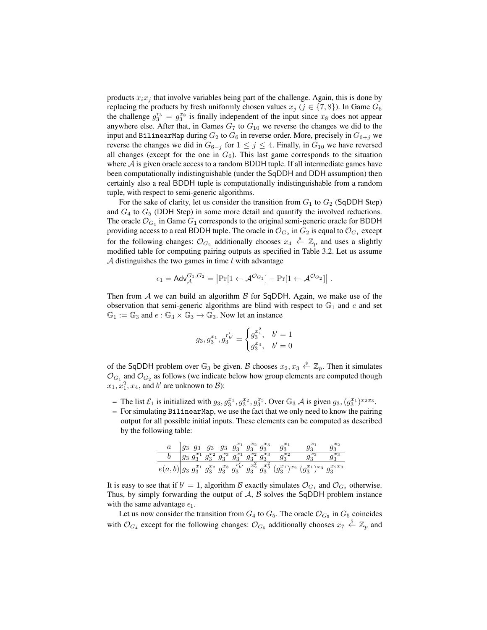products  $x_i x_j$  that involve variables being part of the challenge. Again, this is done by replacing the products by fresh uniformly chosen values  $x_j$  ( $j \in \{7, 8\}$ ). In Game  $G_6$ the challenge  $g_3^{r_b} = g_3^{x_8}$  is finally independent of the input since  $x_8$  does not appear anywhere else. After that, in Games  $G_7$  to  $G_{10}$  we reverse the changes we did to the input and BilinearMap during  $G_2$  to  $G_6$  in reverse order. More, precisely in  $G_{6+i}$  we reverse the changes we did in  $G_{6-i}$  for  $1 \leq j \leq 4$ . Finally, in  $G_{10}$  we have reversed all changes (except for the one in  $G_6$ ). This last game corresponds to the situation where  $A$  is given oracle access to a random BDDH tuple. If all intermediate games have been computationally indistinguishable (under the SqDDH and DDH assumption) then certainly also a real BDDH tuple is computationally indistinguishable from a random tuple, with respect to semi-generic algorithms.

For the sake of clarity, let us consider the transition from  $G_1$  to  $G_2$  (SqDDH Step) and  $G_4$  to  $G_5$  (DDH Step) in some more detail and quantify the involved reductions. The oracle  $\mathcal{O}_{G_1}$  in Game  $G_1$  corresponds to the original semi-generic oracle for BDDH providing access to a real BDDH tuple. The oracle in  $\mathcal{O}_{G_2}$  in  $G_2$  is equal to  $\mathcal{O}_{G_1}$  except for the following changes:  $\mathcal{O}_{G_2}$  additionally chooses  $x_4 \stackrel{s}{\leftarrow} \mathbb{Z}_p$  and uses a slightly modified table for computing pairing outputs as specified in Table 3.2. Let us assume A distinguishes the two games in time  $t$  with advantage

$$
\epsilon_1 = \mathsf{Adv}_{\mathcal{A}}^{G_1, G_2} = \left| \Pr[1 \leftarrow \mathcal{A}^{\mathcal{O}_{G_1}}] - \Pr[1 \leftarrow \mathcal{A}^{\mathcal{O}_{G_2}}] \right| \, .
$$

Then from  $A$  we can build an algorithm  $B$  for SqDDH. Again, we make use of the observation that semi-generic algorithms are blind with respect to  $\mathbb{G}_1$  and  $e$  and set  $\mathbb{G}_1 := \mathbb{G}_3$  and  $e : \mathbb{G}_3 \times \mathbb{G}_3 \to \mathbb{G}_3$ . Now let an instance

$$
g_3, g_3^{x_1}, g_3^{r'_{b'}} = \begin{cases} g_3^{x_1^2}, & b'=1\\ g_3^{x_4}, & b'=0 \end{cases}
$$

of the SqDDH problem over  $\mathbb{G}_3$  be given. B chooses  $x_2, x_3 \stackrel{\hspace{0.1em}\mathsf{\scriptscriptstyle\$}}{\leftarrow} \mathbb{Z}_p$ . Then it simulates  $\mathcal{O}_{G_1}$  and  $\mathcal{O}_{G_2}$  as follows (we indicate below how group elements are computed though  $x_1, x_1^2, x_4$ , and b' are unknown to  $\mathcal{B}$ ):

- The list  $\mathcal{E}_1$  is initialized with  $g_3, g_3^{x_1}, g_3^{x_2}, g_3^{x_3}$ . Over  $\mathbb{G}_3$  A is given  $g_3, (g_3^{x_1})^{x_2x_3}$ .
- For simulating BilinearMap, we use the fact that we only need to know the pairing output for all possible initial inputs. These elements can be computed as described by the following table:

$$
\begin{array}{c|ccccccccc} a & g_3 & g_3 & g_3 & g_3^x & g_3^{x_1} & g_3^{x_2} & g_3^{x_3} & g_3^{x_1} & g_3^{x_1} & g_3^{x_2} \\ \hline b & g_3 & g_3^{x_1} & g_3^{x_2} & g_3^{x_3} & g_3^{x_1} & g_3^{x_2} & g_3^{x_3} & g_3^{x_3} & g_3^{x_3} \\ \hline e(a,b) & g_3 & g_3^{x_1} & g_3^{x_2} & g_3^{x_3} & g_3^{x_3}' & g_3^{x_2} & g_3^{x_3} & (g_3^{x_1})^{x_2} & (g_3^{x_1})^{x_3} & g_3^{x_2 x_3} \end{array}
$$

It is easy to see that if  $b' = 1$ , algorithm  $\beta$  exactly simulates  $\mathcal{O}_{G_1}$  and  $\mathcal{O}_{G_2}$  otherwise. Thus, by simply forwarding the output of  $A$ ,  $B$  solves the SqDDH problem instance with the same advantage  $\epsilon_1$ .

Let us now consider the transition from  $G_4$  to  $G_5$ . The oracle  $\mathcal{O}_{G_5}$  in  $G_5$  coincides with  $\mathcal{O}_{G_4}$  except for the following changes:  $\mathcal{O}_{G_5}$  additionally chooses  $x_7 \overset{\hspace{0.1em}\mathsf{\scriptscriptstyle\$}}{\leftarrow} \mathbb{Z}_p$  and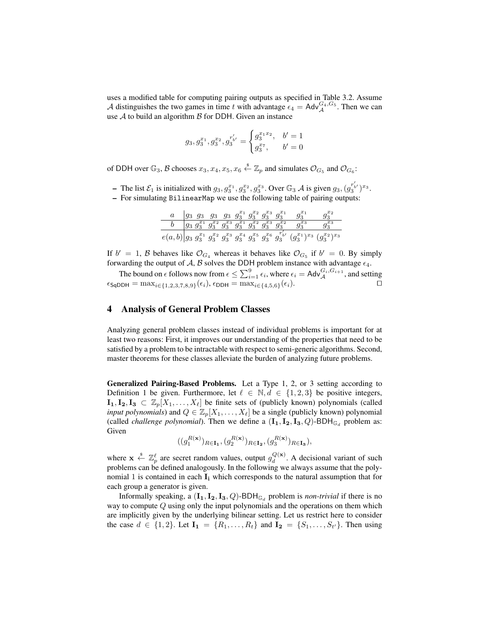uses a modified table for computing pairing outputs as specified in Table 3.2. Assume A distinguishes the two games in time t with advantage  $\epsilon_4 = \text{Adv}_{\mathcal{A}}^{G_4, G_5}$ . Then we can use  $A$  to build an algorithm  $B$  for DDH. Given an instance

$$
g_3, g_3^{x_1}, g_3^{x_2}, g_3^{r'_{b'}} = \begin{cases} g_3^{x_1 x_2}, & b' = 1\\ g_3^{x_7}, & b' = 0 \end{cases}
$$

of DDH over  $\mathbb{G}_3$ ,  $\mathcal{B}$  chooses  $x_3, x_4, x_5, x_6 \stackrel{\hspace{0.1em}\mathsf{\scriptscriptstyle\$}}{\leftarrow} \mathbb{Z}_p$  and simulates  $\mathcal{O}_{G_5}$  and  $\mathcal{O}_{G_6}$ :

- The list  $\mathcal{E}_1$  is initialized with  $g_3, g_3^{x_1}, g_3^{x_2}, g_3^{x_3}$ . Over  $\mathbb{G}_3$  A is given  $g_3, (g_3^{r'_b})^{x_3}$ .
- For simulating BilinearMap we use the following table of pairing outputs:

|  |  |  |  | $\begin{array}{ccccccccc}\ng_3 & g_3 & g_3 & g_3 & g_3^{x_1} & g_3^{x_2} & g_3^{x_3} & g_3^{x_1}\n\end{array}$ |                                                                                                                                                  |
|--|--|--|--|----------------------------------------------------------------------------------------------------------------|--------------------------------------------------------------------------------------------------------------------------------------------------|
|  |  |  |  | $ g_3 \> g_3^{x_1} \> g_3^{x_2} \> g_3^{x_3} \> \overline{g_3^{x_1}} \> g_3^{x_2} \> g_3^{x_3} \> g_3^{x_2}$   |                                                                                                                                                  |
|  |  |  |  |                                                                                                                | $e(a,b)\big  g_3 \ g_3^{x_1} \ g_3^{x_2} \ g_3^{x_3} \ g_3^{x_4} \ g_3^{x_5} \ g_3^{x_6} \ g_3^{r_{b'}} \ (g_3^{x_1})^{x_3} \ (g_3^{x_2})^{x_3}$ |

If  $b' = 1$ , B behaves like  $\mathcal{O}_{G_4}$  whereas it behaves like  $\mathcal{O}_{G_5}$  if  $b' = 0$ . By simply forwarding the output of A, B solves the DDH problem instance with advantage  $\epsilon_4$ .

The bound on  $\epsilon$  follows now from  $\epsilon \leq \sum_{i=1}^{9} \epsilon_i$ , where  $\epsilon_i = \mathsf{Adv}_{\mathcal{A}}^{G_i, G_{i+1}}$ , and setting  $\epsilon_{\text{SqDDH}} = \max_{i \in \{1,2,3,7,8,9\}} (\epsilon_i), \epsilon_{\text{DDH}} = \max_{i \in \{4,5,6\}} (\epsilon_i).$ 

### 4 Analysis of General Problem Classes

Analyzing general problem classes instead of individual problems is important for at least two reasons: First, it improves our understanding of the properties that need to be satisfied by a problem to be intractable with respect to semi-generic algorithms. Second, master theorems for these classes alleviate the burden of analyzing future problems.

Generalized Pairing-Based Problems. Let a Type 1, 2, or 3 setting according to Definition 1 be given. Furthermore, let  $\ell \in \mathbb{N}, d \in \{1, 2, 3\}$  be positive integers,  $\mathbf{I}_1, \mathbf{I}_2, \mathbf{I}_3 \subset \mathbb{Z}_p[X_1, \ldots, X_\ell]$  be finite sets of (publicly known) polynomials (called *input polynomials*) and  $Q \in \mathbb{Z}_p[X_1, \ldots, X_\ell]$  be a single (publicly known) polynomial (called *challenge polynomial*). Then we define a  $(I_1, I_2, I_3, Q)$ -BDH<sub>G<sub>d</sub></sub> problem as: Given

$$
((g_1^{R(\mathbf{x})})_{R\in\mathbf{I_1}}, (g_2^{R(\mathbf{x})})_{R\in\mathbf{I_2}}, (g_3^{R(\mathbf{x})})_{R\in\mathbf{I_3}}),
$$

where  $\mathbf{x} \stackrel{\hspace{0.1em}\mathsf{\scriptscriptstyle\$}}{\leftarrow} \mathbb{Z}_p^\ell$  are secret random values, output  $g_d^{Q(\mathbf{x})}$  $\mathcal{Q}(\mathbf{x})$ . A decisional variant of such problems can be defined analogously. In the following we always assume that the polynomial 1 is contained in each  $I_i$  which corresponds to the natural assumption that for each group a generator is given.

Informally speaking, a  $(\mathbf{I}_1, \mathbf{I}_2, \mathbf{I}_3, Q)$ -BDH $_{\mathbb{G}_d}$  problem is *non-trivial* if there is no way to compute Q using only the input polynomials and the operations on them which are implicitly given by the underlying bilinear setting. Let us restrict here to consider the case  $d \in \{1, 2\}$ . Let  $I_1 = \{R_1, \ldots, R_t\}$  and  $I_2 = \{S_1, \ldots, S_{t'}\}$ . Then using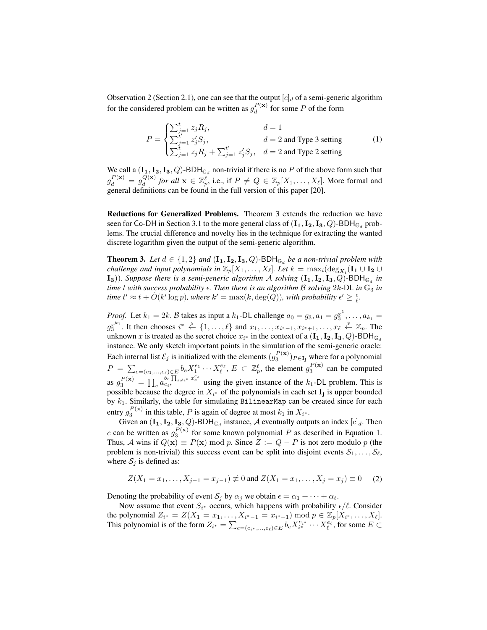Observation 2 (Section 2.1), one can see that the output  $[c]_d$  of a semi-generic algorithm for the considered problem can be written as  $g_d^{P(x)}$  $\frac{P(\mathbf{x})}{d}$  for some P of the form

$$
P = \begin{cases} \sum_{j=1}^{t} z_j R_j, & d = 1\\ \sum_{j=1}^{t'} z'_j S_j, & d = 2 \text{ and Type 3 setting} \\ \sum_{j=1}^{t} z_j R_j + \sum_{j=1}^{t'} z'_j S_j, & d = 2 \text{ and Type 2 setting} \end{cases}
$$
(1)

We call a  $(I_1, I_2, I_3, Q)$ -BDH $_{\mathbb{G}_d}$  non-trivial if there is no P of the above form such that  $g_d^{P(\mathbf{x})} = g_d^{Q(\mathbf{x})}$  $\frac{Q(\mathbf{x})}{d}$  *for all*  $\mathbf{x} \in \mathbb{Z}_p^{\ell}$ , i.e., if  $P \neq Q \in \mathbb{Z}_p[X_1, \ldots, X_{\ell}]$ . More formal and general definitions can be found in the full version of this paper [20].

Reductions for Generalized Problems. Theorem 3 extends the reduction we have seen for Co-DH in Section 3.1 to the more general class of  $(\mathbf{I_1}, \mathbf{I_2}, \mathbf{I_3}, Q)$ -BDH $_{\mathbb{G}_d}$  problems. The crucial difference and novelty lies in the technique for extracting the wanted discrete logarithm given the output of the semi-generic algorithm.

**Theorem 3.** Let  $d \in \{1,2\}$  and  $(\mathbf{I_1}, \mathbf{I_2}, \mathbf{I_3}, Q)$ -BDH $_{\mathbb{G}_d}$  be a non-trivial problem with *challenge and input polynomials in*  $\mathbb{Z}_p[X_1, \ldots, X_\ell]$ *. Let*  $k = \max_i(\deg_{X_i}(\mathbf{I_1} \cup \mathbf{I_2} \cup$  $(I_3)$ )*. Suppose there is a semi-generic algorithm A solving*  $(I_1, I_2, I_3, Q)$ -BDH $_{\mathbb{G}_d}$  in *time* t *with success probability . Then there is an algorithm* B *solving* 2k*-*DL *in* G<sup>3</sup> *in time*  $t' \approx t + \tilde{O}(k' \log p)$ *, where*  $k' = \max(k, \deg(Q))$ *, with probability*  $\epsilon' \geq \frac{\epsilon}{\ell}$ *.* 

*Proof.* Let  $k_1 = 2k$ . B takes as input a  $k_1$ -DL challenge  $a_0 = g_3, a_1 = g_3^{x^1}, \dots, a_{k_1} =$  $g_3^{x^{k_1}}$ . It then chooses  $i^* \stackrel{\$}{\leftarrow} \{1, \ldots, \ell\}$  and  $x_1, \ldots, x_{i^*-1}, x_{i^*+1}, \ldots, x_{\ell} \stackrel{\$}{\leftarrow} \mathbb{Z}_p$ . The unknown x is treated as the secret choice  $x_{i^*}$  in the context of a  $(\mathbf{I_1}, \mathbf{I_2}, \mathbf{I_3}, Q)$ -BDH $_{\mathbb{G}_d}$ instance. We only sketch important points in the simulation of the semi-generic oracle: Each internal list  $\mathcal{E}_j$  is initialized with the elements  $(g_3^{P(\textbf{x})})_{P \in \textbf{I}_j}$  where for a polynomial  $P = \sum_{e=(e_1,...,e_\ell) \in E} b_e X_1^{e_1} \cdots X_\ell^{e_\ell}, E \subset \mathbb{Z}_p^\ell$ , the element  $g_3^{P(\mathbf{x})}$  can be computed as  $g_3^{P(x)} = \prod_e \det_{e_{i*}}^{b_e} \prod_{s \neq i^*} x_s^{e_s}$  using the given instance of the  $k_1$ -DL problem. This is possible because the degree in  $X_{i^*}$  of the polynomials in each set  $\mathbf{I}_j$  is upper bounded by  $k_1$ . Similarly, the table for simulating BilinearMap can be created since for each entry  $g_3^{P(x)}$  in this table, P is again of degree at most  $k_1$  in  $X_{i^*}$ .

Given an  $(\mathbf{I_1}, \mathbf{I_2}, \mathbf{I_3}, Q)$ -BDH $_{\mathbb{G}_d}$  instance, A eventually outputs an index  $[c]_d$ . Then c can be written as  $g_3^{P(x)}$  for some known polynomial P as described in Equation 1. Thus, A wins if  $Q(x) \equiv P(x) \bmod p$ . Since  $Z := Q - P$  is not zero modulo p (the problem is non-trivial) this success event can be split into disjoint events  $S_1, \ldots, S_\ell$ , where  $S_j$  is defined as:

$$
Z(X_1 = x_1, ..., X_{j-1} = x_{j-1}) \neq 0
$$
 and  $Z(X_1 = x_1, ..., X_j = x_j) \equiv 0$  (2)

Denoting the probability of event  $S_i$  by  $\alpha_i$  we obtain  $\epsilon = \alpha_1 + \cdots + \alpha_\ell$ .

Now assume that event  $S_{i^*}$  occurs, which happens with probability  $\epsilon/\ell$ . Consider the polynomial  $Z_{i^*} = Z(X_1 = x_1, \ldots, X_{i^*-1} = x_{i^*-1}) \bmod p \in \mathbb{Z}_p[X_{i^*}, \ldots, X_\ell].$ This polynomial is of the form  $Z_{i^*} = \sum_{e=(e_{i^*},...,e_{\ell})\in E} b_e X_{i^*}^{e_{i^*}} \cdots X_{\ell}^{e_{\ell}}$ , for some  $E \subset$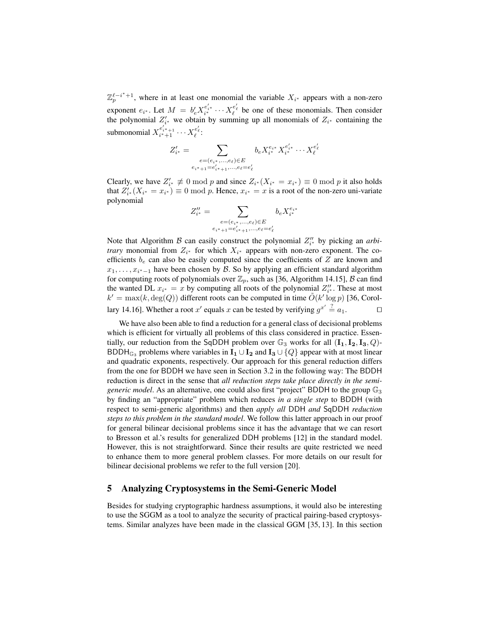$\mathbb{Z}_p^{\ell-i^*+1}$ , where in at least one monomial the variable  $X_{i^*}$  appears with a non-zero exponent  $e_{i^*}$ . Let  $M = b'_e X_{i^*}^{e'_{i^*}} \cdots X_{\ell}^{e'_{\ell}}$  be one of these monomials. Then consider the polynomial  $Z'_{i^*}$  we obtain by summing up all monomials of  $Z_{i^*}$  containing the submonomial  $X_{i^*+1}^{e'_{i^*+1}} \cdots X_{\ell}^{e'_{\ell}}$ :

$$
Z'_{i^*} = \sum_{\substack{e = (e_{i^*}, \ldots, e_\ell) \in E \\ e_{i^*+1} = e'_{i^*+1}, \ldots, e_\ell = e'_\ell}} b_e X_{i^*}^{e_{i^*}} X_{i^*}^{e'_{i^*}} \cdots X_{\ell}^{e'_{\ell}}
$$

Clearly, we have  $Z'_{i^*} \not\equiv 0 \mod p$  and since  $Z_{i^*}(X_{i^*} = x_{i^*}) \equiv 0 \mod p$  it also holds that  $Z'_{i^*}(X_{i^*}=x_{i^*})\equiv 0 \bmod p$ . Hence,  $x_{i^*}=x$  is a root of the non-zero uni-variate polynomial

$$
Z''_{i^*} = \sum_{\substack{e = (e_{i^*}, \ldots, e_{\ell}) \in E \\ e_{i^*+1} = e'_{i^*+1}, \ldots, e_{\ell} = e'_{\ell}}} b_e X_{i^*}^{e_{i^*}}
$$

Note that Algorithm  $\beta$  can easily construct the polynomial  $Z_{i*}''$  by picking an *arbitrary* monomial from  $Z_{i^*}$  for which  $X_{i^*}$  appears with non-zero exponent. The coefficients  $b_e$  can also be easily computed since the coefficients of Z are known and  $x_1, \ldots, x_{i^*-1}$  have been chosen by  $\mathcal{B}$ . So by applying an efficient standard algorithm for computing roots of polynomials over  $\mathbb{Z}_p$ , such as [36, Algorithm 14.15],  $\beta$  can find the wanted DL  $x_{i^*} = x$  by computing all roots of the polynomial  $Z''_{i^*}$ . These at most  $k' = \max(k, \deg(Q))$  different roots can be computed in time  $\tilde{O}(k' \log p)$  [36, Corollary 14.16]. Whether a root x' equals x can be tested by verifying  $g^{x'} \stackrel{?}{=} a_1$ .

We have also been able to find a reduction for a general class of decisional problems which is efficient for virtually all problems of this class considered in practice. Essentially, our reduction from the SqDDH problem over  $\mathbb{G}_3$  works for all  $(I_1, I_2, I_3, Q)$ -BDDH<sub>G3</sub> problems where variables in  $I_1 \cup I_2$  and  $I_3 \cup \{Q\}$  appear with at most linear and quadratic exponents, respectively. Our approach for this general reduction differs from the one for BDDH we have seen in Section 3.2 in the following way: The BDDH reduction is direct in the sense that *all reduction steps take place directly in the semigeneric model*. As an alternative, one could also first "project" BDDH to the group  $\mathbb{G}_3$ by finding an "appropriate" problem which reduces *in a single step* to BDDH (with respect to semi-generic algorithms) and then *apply all* DDH *and* SqDDH *reduction steps to this problem in the standard model*. We follow this latter approach in our proof for general bilinear decisional problems since it has the advantage that we can resort to Bresson et al.'s results for generalized DDH problems [12] in the standard model. However, this is not straightforward. Since their results are quite restricted we need to enhance them to more general problem classes. For more details on our result for bilinear decisional problems we refer to the full version [20].

## 5 Analyzing Cryptosystems in the Semi-Generic Model

Besides for studying cryptographic hardness assumptions, it would also be interesting to use the SGGM as a tool to analyze the security of practical pairing-based cryptosystems. Similar analyzes have been made in the classical GGM [35, 13]. In this section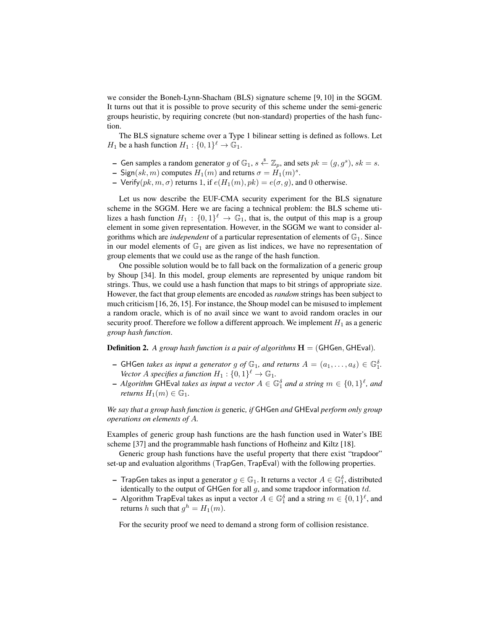we consider the Boneh-Lynn-Shacham (BLS) signature scheme [9, 10] in the SGGM. It turns out that it is possible to prove security of this scheme under the semi-generic groups heuristic, by requiring concrete (but non-standard) properties of the hash function.

The BLS signature scheme over a Type 1 bilinear setting is defined as follows. Let  $H_1$  be a hash function  $H_1: \{0,1\}^{\ell} \to \mathbb{G}_1$ .

- Gen samples a random generator g of  $\mathbb{G}_1$ ,  $s \stackrel{\$}{\leftarrow} \mathbb{Z}_p$ , and sets  $pk = (g, g^s)$ ,  $sk = s$ .
- $\overline{\phantom{a}}$  Sign $(sk, m)$  computes  $H_1(m)$  and returns  $\sigma = H_1(m)^s$ .
- Verify( $pk, m, \sigma$ ) returns 1, if  $e(H_1(m), pk) = e(\sigma, g)$ , and 0 otherwise.

Let us now describe the EUF-CMA security experiment for the BLS signature scheme in the SGGM. Here we are facing a technical problem: the BLS scheme utilizes a hash function  $H_1: \{0,1\}^{\ell} \to \mathbb{G}_1$ , that is, the output of this map is a group element in some given representation. However, in the SGGM we want to consider algorithms which are *independent* of a particular representation of elements of  $\mathbb{G}_1$ . Since in our model elements of  $\mathbb{G}_1$  are given as list indices, we have no representation of group elements that we could use as the range of the hash function.

One possible solution would be to fall back on the formalization of a generic group by Shoup [34]. In this model, group elements are represented by unique random bit strings. Thus, we could use a hash function that maps to bit strings of appropriate size. However, the fact that group elements are encoded as *random* strings has been subject to much criticism [16, 26, 15]. For instance, the Shoup model can be misused to implement a random oracle, which is of no avail since we want to avoid random oracles in our security proof. Therefore we follow a different approach. We implement  $H_1$  as a generic *group hash function*.

**Definition 2.** A group hash function is a pair of algorithms  $H = (GHGen, GHEval)$ .

- $\vdash$  GHGen *takes as input a generator g of*  $\mathbb{G}_1$ *, and returns*  $A = (a_1, \ldots, a_\delta) \in \mathbb{G}_1^\delta$ . *Vector A specifies a function*  $H_1: \{0, 1\}^{\ell} \to \mathbb{G}_1$ .
- **−** Algorithm GHEval takes as input a vector  $A \in \mathbb{G}_1^{\delta}$  and a string  $m \in \{0,1\}^{\ell}$ , and *returns*  $H_1(m) \in \mathbb{G}_1$ .

*We say that a group hash function is* generic*, if* GHGen *and* GHEval *perform only group operations on elements of* A*.*

Examples of generic group hash functions are the hash function used in Water's IBE scheme [37] and the programmable hash functions of Hofheinz and Kiltz [18].

Generic group hash functions have the useful property that there exist "trapdoor" set-up and evaluation algorithms (TrapGen, TrapEval) with the following properties.

- TrapGen takes as input a generator  $g \in \mathbb{G}_1$ . It returns a vector  $A \in \mathbb{G}_1^{\delta}$ , distributed identically to the output of GHGen for all  $g$ , and some trapdoor information  $td$ .
- Algorithm TrapEval takes as input a vector  $A \in \mathbb{G}_1^{\delta}$  and a string  $m \in \{0,1\}^{\ell}$ , and returns h such that  $g^h = H_1(m)$ .

For the security proof we need to demand a strong form of collision resistance.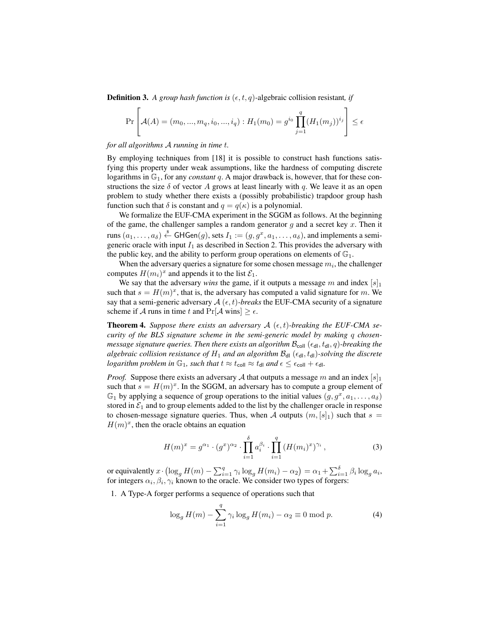**Definition 3.** A group hash function is  $(\epsilon, t, q)$ -algebraic collision resistant, if

$$
\Pr\left[\mathcal{A}(A) = (m_0, ..., m_q, i_0, ..., i_q) : H_1(m_0) = g^{i_0} \prod_{j=1}^q (H_1(m_j))^{i_j} \right] \le \epsilon
$$

#### *for all algorithms* A *running in time* t*.*

By employing techniques from [18] it is possible to construct hash functions satisfying this property under weak assumptions, like the hardness of computing discrete logarithms in  $\mathbb{G}_1$ , for any *constant* q. A major drawback is, however, that for these constructions the size  $\delta$  of vector A grows at least linearly with q. We leave it as an open problem to study whether there exists a (possibly probabilistic) trapdoor group hash function such that  $\delta$  is constant and  $q = q(\kappa)$  is a polynomial.

We formalize the EUF-CMA experiment in the SGGM as follows. At the beginning of the game, the challenger samples a random generator q and a secret key  $x$ . Then it runs  $(a_1,\ldots,a_\delta)\stackrel{\hspace{0.1em}\mathsf{\scriptscriptstyle\$}}{\leftarrow}$  GHGen $(g)$ , sets  $I_1:=(g,g^x,a_1,\ldots,a_\delta),$  and implements a semigeneric oracle with input  $I_1$  as described in Section 2. This provides the adversary with the public key, and the ability to perform group operations on elements of  $\mathbb{G}_1$ .

When the adversary queries a signature for some chosen message  $m_i$ , the challenger computes  $H(m_i)^x$  and appends it to the list  $\mathcal{E}_1$ .

We say that the adversary *wins* the game, if it outputs a message m and index  $[s]_1$ such that  $s = H(m)^x$ , that is, the adversary has computed a valid signature for m. We say that a semi-generic adversary  $A(\epsilon, t)$ -breaks the EUF-CMA security of a signature scheme if A runs in time t and  $Pr[A \text{ wins}] \geq \epsilon$ .

**Theorem 4.** Suppose there exists an adversary  $\mathcal{A}(\epsilon, t)$ -breaking the EUF-CMA se*curity of the BLS signature scheme in the semi-generic model by making* q *chosenmessage signature queries. Then there exists an algorithm*  $B_{\text{coll}}\left(\epsilon_{\text{dl}}, t_{\text{dl}}, q\right)$ *-breaking the algebraic collision resistance of*  $H_1$  *and an algorithm*  $\mathcal{B}_{\text{dl}}$  ( $\epsilon_{\text{dl}}$ ,  $t_{\text{dl}}$ )-solving the discrete *logarithm problem in*  $\mathbb{G}_1$ *, such that*  $t \approx t_{\text{coll}} \approx t_{\text{dl}}$  *and*  $\epsilon \leq \epsilon_{\text{coll}} + \epsilon_{\text{dl}}$ *.* 

*Proof.* Suppose there exists an adversary A that outputs a message m and an index  $[s]_1$ such that  $s = H(m)^x$ . In the SGGM, an adversary has to compute a group element of  $\mathbb{G}_1$  by applying a sequence of group operations to the initial values  $(g, g^x, a_1, \ldots, a_\delta)$ stored in  $\mathcal{E}_1$  and to group elements added to the list by the challenger oracle in response to chosen-message signature queries. Thus, when A outputs  $(m, [s]_1)$  such that  $s =$  $H(m)^x$ , then the oracle obtains an equation

$$
H(m)^{x} = g^{\alpha_{1}} \cdot (g^{x})^{\alpha_{2}} \cdot \prod_{i=1}^{\delta} a_{i}^{\beta_{i}} \cdot \prod_{i=1}^{q} (H(m_{i})^{x})^{\gamma_{i}}, \qquad (3)
$$

or equivalently  $x\cdot \left(\log_g H(m) - \sum_{i=1}^q \gamma_i \log_g H(m_i) - \alpha_2\right) = \alpha_1 + \sum_{i=1}^{\delta} \beta_i \log_g a_i,$ for integers  $\alpha_i, \beta_i, \gamma_i$  known to the oracle. We consider two types of forgers:

1. A Type-A forger performs a sequence of operations such that

$$
\log_g H(m) - \sum_{i=1}^q \gamma_i \log_g H(m_i) - \alpha_2 \equiv 0 \mod p. \tag{4}
$$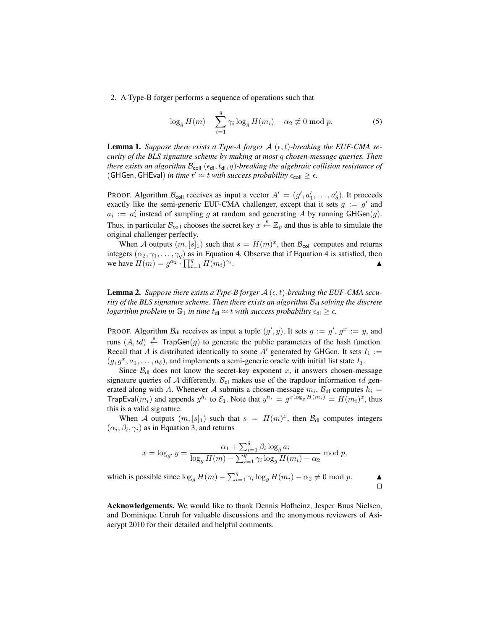2. A Type-B forger performs a sequence of operations such that

$$
\log_g H(m) - \sum_{i=1}^q \gamma_i \log_g H(m_i) - \alpha_2 \not\equiv 0 \mod p. \tag{5}
$$

**Lemma 1.** Suppose there exists a Type-A forger  $\mathcal{A}(\epsilon, t)$ -breaking the EUF-CMA se*curity of the BLS signature scheme by making at most* q *chosen-message queries. Then there exists an algorithm*  $\mathcal{B}_{\text{coll}}\left(\epsilon_{\text{dl}}, t_{\text{dl}}, q\right)$ *-breaking the algebraic collision resistance of* (GHGen, GHEval) *in time*  $t' \approx t$  *with success probability*  $\epsilon_{\text{coll}} \geq \epsilon$ .

PROOF. Algorithm  $\mathcal{B}_{\text{coll}}$  receives as input a vector  $A' = (g', a'_1, \dots, a'_\delta)$ . It proceeds exactly like the semi-generic EUF-CMA challenger, except that it sets  $g := g'$  and  $a_i := a'_i$  instead of sampling g at random and generating A by running GHGen(g). Thus, in particular  $\mathcal{B}_{\text{coll}}$  chooses the secret key  $x \stackrel{\hspace{0.1em}\mathsf{\scriptscriptstyle\$}}{\leftarrow} \mathbb{Z}_p$  and thus is able to simulate the original challenger perfectly.

When A outputs  $(m, [s]_1)$  such that  $s = H(m)^x$ , then  $\mathcal{B}_{\text{coll}}$  computes and returns integers  $(\alpha_2, \gamma_1, \ldots, \gamma_q)$  as in Equation 4. Observe that if Equation 4 is satisfied, then we have  $H(m) = g^{\alpha_2} \cdot \prod_{i=1}^q H(m_i)^{\gamma_i}$ . A series of the series of the series of the series of the series of the series of the series of the series of the series of the series of the series of the series of the series of the series of the series of the series o

**Lemma 2.** Suppose there exists a Type-B forger  $A(\epsilon, t)$ -breaking the EUF-CMA secu*rity of the BLS signature scheme. Then there exists an algorithm*  $B_{dl}$  *solving the discrete logarithm problem in*  $\mathbb{G}_1$  *in time*  $t_{d} \approx t$  *with success probability*  $\epsilon_{d} \geq \epsilon$ *.* 

PROOF. Algorithm  $\mathcal{B}_{\text{dl}}$  receives as input a tuple  $(g', y)$ . It sets  $g := g', g^x := y$ , and runs  $(A, td) \stackrel{\text{d}}{\leftarrow}$  TrapGen $(g)$  to generate the public parameters of the hash function. Recall that A is distributed identically to some A' generated by GHGen. It sets  $I_1 :=$  $(g, g^x, a_1, \ldots, a_\delta)$ , and implements a semi-generic oracle with initial list state  $I_1$ .

Since  $\mathcal{B}_{d}$  does not know the secret-key exponent x, it answers chosen-message signature queries of A differently.  $\mathcal{B}_{d}$  makes use of the trapdoor information td generated along with A. Whenever A submits a chosen-message  $m_i$ ,  $\mathcal{B}_{\text{dl}}$  computes  $h_i =$ TrapEval $(m_i)$  and appends  $y^{h_i}$  to  $\mathcal{E}_1$ . Note that  $y^{h_i} = g^{x \log_g H(m_i)} = H(m_i)^x$ , thus this is a valid signature.

When A outputs  $(m, [s]_1)$  such that  $s = H(m)^x$ , then  $\mathcal{B}_{\text{dl}}$  computes integers  $(\alpha_i, \beta_i, \gamma_i)$  as in Equation 3, and returns

$$
x = \log_{g'} y = \frac{\alpha_1 + \sum_{i=1}^{\delta} \beta_i \log_g a_i}{\log_g H(m) - \sum_{i=1}^{\delta} \gamma_i \log_g H(m_i) - \alpha_2} \mod p,
$$

which is possible since  $\log_g H(m) - \sum_{i=1}^q \gamma_i \log_g H(m_i) - \alpha_2 \neq 0 \mod p$ .  $\Box$ 

Acknowledgements. We would like to thank Dennis Hofheinz, Jesper Buus Nielsen, and Dominique Unruh for valuable discussions and the anonymous reviewers of Asiacrypt 2010 for their detailed and helpful comments.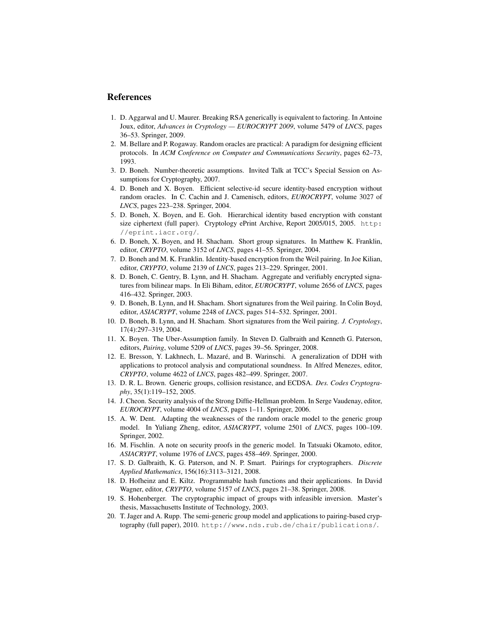## References

- 1. D. Aggarwal and U. Maurer. Breaking RSA generically is equivalent to factoring. In Antoine Joux, editor, *Advances in Cryptology — EUROCRYPT 2009*, volume 5479 of *LNCS*, pages 36–53. Springer, 2009.
- 2. M. Bellare and P. Rogaway. Random oracles are practical: A paradigm for designing efficient protocols. In *ACM Conference on Computer and Communications Security*, pages 62–73, 1993.
- 3. D. Boneh. Number-theoretic assumptions. Invited Talk at TCC's Special Session on Assumptions for Cryptography, 2007.
- 4. D. Boneh and X. Boyen. Efficient selective-id secure identity-based encryption without random oracles. In C. Cachin and J. Camenisch, editors, *EUROCRYPT*, volume 3027 of *LNCS*, pages 223–238. Springer, 2004.
- 5. D. Boneh, X. Boyen, and E. Goh. Hierarchical identity based encryption with constant size ciphertext (full paper). Cryptology ePrint Archive, Report 2005/015, 2005. http: //eprint.iacr.org/.
- 6. D. Boneh, X. Boyen, and H. Shacham. Short group signatures. In Matthew K. Franklin, editor, *CRYPTO*, volume 3152 of *LNCS*, pages 41–55. Springer, 2004.
- 7. D. Boneh and M. K. Franklin. Identity-based encryption from the Weil pairing. In Joe Kilian, editor, *CRYPTO*, volume 2139 of *LNCS*, pages 213–229. Springer, 2001.
- 8. D. Boneh, C. Gentry, B. Lynn, and H. Shacham. Aggregate and verifiably encrypted signatures from bilinear maps. In Eli Biham, editor, *EUROCRYPT*, volume 2656 of *LNCS*, pages 416–432. Springer, 2003.
- 9. D. Boneh, B. Lynn, and H. Shacham. Short signatures from the Weil pairing. In Colin Boyd, editor, *ASIACRYPT*, volume 2248 of *LNCS*, pages 514–532. Springer, 2001.
- 10. D. Boneh, B. Lynn, and H. Shacham. Short signatures from the Weil pairing. *J. Cryptology*, 17(4):297–319, 2004.
- 11. X. Boyen. The Uber-Assumption family. In Steven D. Galbraith and Kenneth G. Paterson, editors, *Pairing*, volume 5209 of *LNCS*, pages 39–56. Springer, 2008.
- 12. E. Bresson, Y. Lakhnech, L. Mazare, and B. Warinschi. A generalization of DDH with ´ applications to protocol analysis and computational soundness. In Alfred Menezes, editor, *CRYPTO*, volume 4622 of *LNCS*, pages 482–499. Springer, 2007.
- 13. D. R. L. Brown. Generic groups, collision resistance, and ECDSA. *Des. Codes Cryptography*, 35(1):119–152, 2005.
- 14. J. Cheon. Security analysis of the Strong Diffie-Hellman problem. In Serge Vaudenay, editor, *EUROCRYPT*, volume 4004 of *LNCS*, pages 1–11. Springer, 2006.
- 15. A. W. Dent. Adapting the weaknesses of the random oracle model to the generic group model. In Yuliang Zheng, editor, *ASIACRYPT*, volume 2501 of *LNCS*, pages 100–109. Springer, 2002.
- 16. M. Fischlin. A note on security proofs in the generic model. In Tatsuaki Okamoto, editor, *ASIACRYPT*, volume 1976 of *LNCS*, pages 458–469. Springer, 2000.
- 17. S. D. Galbraith, K. G. Paterson, and N. P. Smart. Pairings for cryptographers. *Discrete Applied Mathematics*, 156(16):3113–3121, 2008.
- 18. D. Hofheinz and E. Kiltz. Programmable hash functions and their applications. In David Wagner, editor, *CRYPTO*, volume 5157 of *LNCS*, pages 21–38. Springer, 2008.
- 19. S. Hohenberger. The cryptographic impact of groups with infeasible inversion. Master's thesis, Massachusetts Institute of Technology, 2003.
- 20. T. Jager and A. Rupp. The semi-generic group model and applications to pairing-based cryptography (full paper), 2010. http://www.nds.rub.de/chair/publications/.